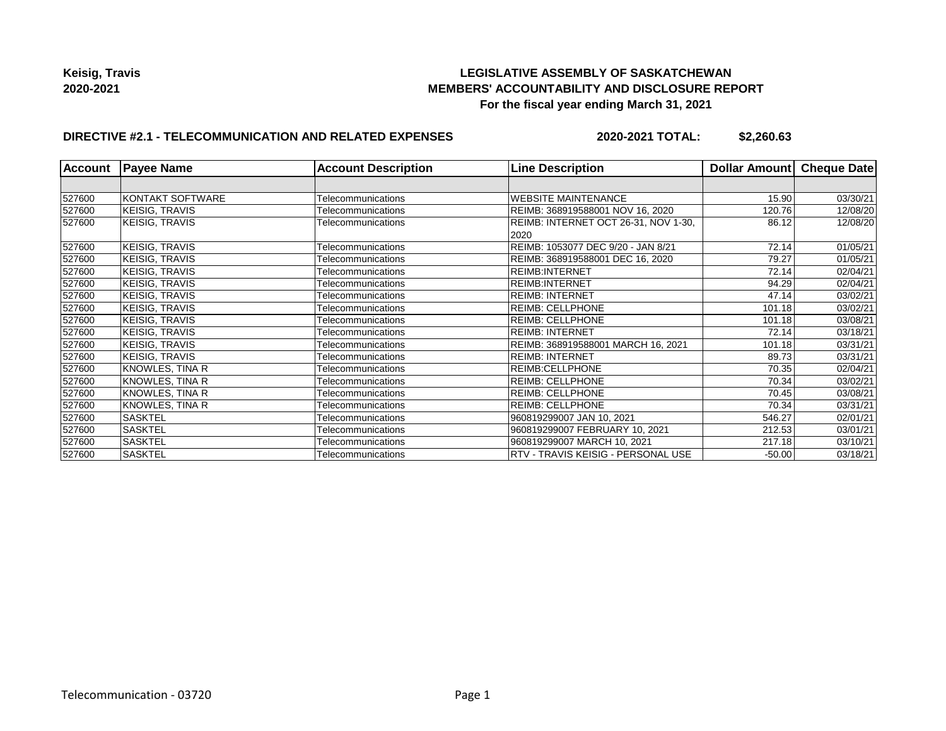# **LEGISLATIVE ASSEMBLY OF SASKATCHEWAN MEMBERS' ACCOUNTABILITY AND DISCLOSURE REPORT For the fiscal year ending March 31, 2021**

# **DIRECTIVE #2.1 - TELECOMMUNICATION AND RELATED EXPENSES**

**2020-2021 TOTAL: \$2,260.63**

| Account | <b>Payee Name</b>     | <b>Account Description</b> | <b>Line Description</b>                               | Dollar Amount | Cheque Date |
|---------|-----------------------|----------------------------|-------------------------------------------------------|---------------|-------------|
|         |                       |                            |                                                       |               |             |
| 527600  | KONTAKT SOFTWARE      | Telecommunications         | <b>WEBSITE MAINTENANCE</b>                            | 15.90         | 03/30/21    |
| 527600  | KEISIG, TRAVIS        | Telecommunications         | REIMB: 368919588001 NOV 16, 2020                      | 120.76        | 12/08/20    |
| 527600  | KEISIG, TRAVIS        | Telecommunications         | REIMB: INTERNET OCT 26-31, NOV 1-30,<br>86.12<br>2020 |               | 12/08/20    |
| 527600  | <b>KEISIG, TRAVIS</b> | Telecommunications         | REIMB: 1053077 DEC 9/20 - JAN 8/21                    | 72.14         | 01/05/21    |
| 527600  | <b>KEISIG, TRAVIS</b> | Telecommunications         | REIMB: 368919588001 DEC 16, 2020                      | 79.27         | 01/05/21    |
| 527600  | KEISIG, TRAVIS        | Telecommunications         | <b>REIMB:INTERNET</b>                                 | 72.14         | 02/04/21    |
| 527600  | <b>KEISIG, TRAVIS</b> | Telecommunications         | <b>REIMB:INTERNET</b>                                 | 94.29         | 02/04/21    |
| 527600  | <b>KEISIG, TRAVIS</b> | Telecommunications         | <b>REIMB: INTERNET</b>                                | 47.14         | 03/02/21    |
| 527600  | KEISIG, TRAVIS        | Telecommunications         | <b>REIMB: CELLPHONE</b>                               | 101.18        | 03/02/21    |
| 527600  | <b>KEISIG, TRAVIS</b> | Telecommunications         | <b>REIMB: CELLPHONE</b>                               | 101.18        | 03/08/21    |
| 527600  | <b>KEISIG, TRAVIS</b> | Telecommunications         | <b>REIMB: INTERNET</b>                                | 72.14         | 03/18/21    |
| 527600  | <b>KEISIG, TRAVIS</b> | Telecommunications         | REIMB: 368919588001 MARCH 16, 2021                    | 101.18        | 03/31/21    |
| 527600  | <b>KEISIG, TRAVIS</b> | Telecommunications         | <b>REIMB: INTERNET</b>                                | 89.73         | 03/31/21    |
| 527600  | KNOWLES, TINA R       | Telecommunications         | <b>REIMB:CELLPHONE</b>                                | 70.35         | 02/04/21    |
| 527600  | KNOWLES, TINA R       | Telecommunications         | <b>REIMB: CELLPHONE</b>                               | 70.34         | 03/02/21    |
| 527600  | KNOWLES, TINA R       | Telecommunications         | <b>REIMB: CELLPHONE</b>                               | 70.45         | 03/08/21    |
| 527600  | KNOWLES, TINA R       | Telecommunications         | <b>REIMB: CELLPHONE</b>                               | 70.34         | 03/31/21    |
| 527600  | <b>SASKTEL</b>        | Telecommunications         | 960819299007 JAN 10, 2021                             | 546.27        | 02/01/21    |
| 527600  | <b>SASKTEL</b>        | Telecommunications         | 960819299007 FEBRUARY 10, 2021                        | 212.53        | 03/01/21    |
| 527600  | <b>SASKTEL</b>        | Telecommunications         | 960819299007 MARCH 10, 2021                           | 217.18        | 03/10/21    |
| 527600  | <b>SASKTEL</b>        | Telecommunications         | RTV - TRAVIS KEISIG - PERSONAL USE                    | $-50.00$      | 03/18/21    |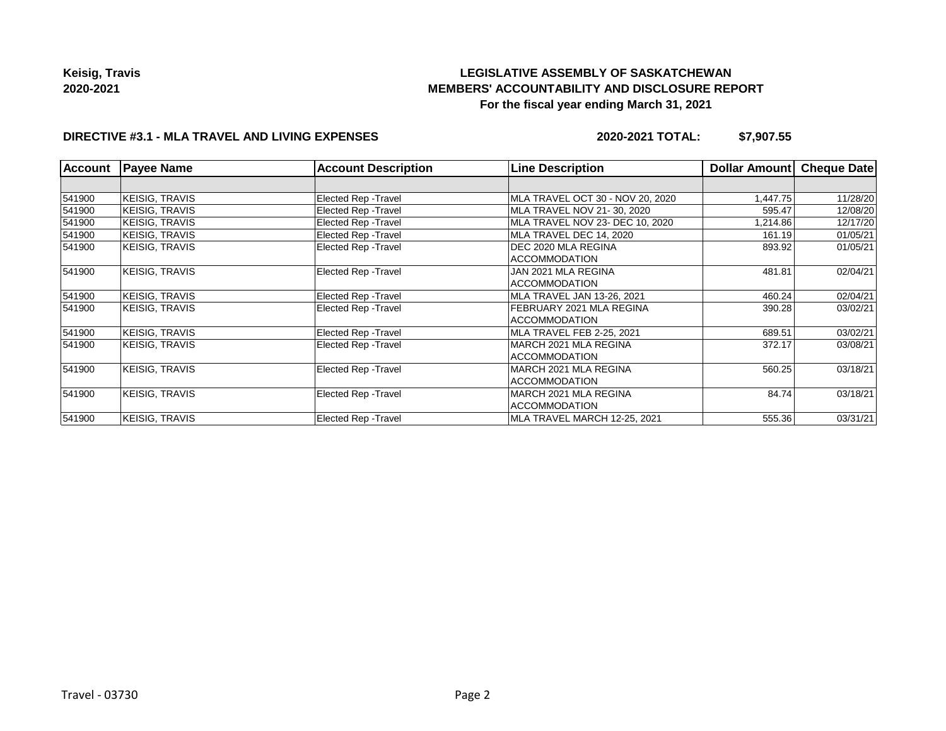# **LEGISLATIVE ASSEMBLY OF SASKATCHEWAN MEMBERS' ACCOUNTABILITY AND DISCLOSURE REPORT For the fiscal year ending March 31, 2021**

# **DIRECTIVE #3.1 - MLA TRAVEL AND LIVING EXPENSES**

**2020-2021 TOTAL: \$7,907.55**

| <b>Account</b> | <b>Payee Name</b>     | <b>Account Description</b>  | <b>Line Description</b>          | <b>Dollar Amount</b> | Cheque Date |
|----------------|-----------------------|-----------------------------|----------------------------------|----------------------|-------------|
|                |                       |                             |                                  |                      |             |
| 541900         | <b>KEISIG, TRAVIS</b> | Elected Rep - Travel        | MLA TRAVEL OCT 30 - NOV 20, 2020 | 1,447.75             | 11/28/20    |
| 541900         | <b>KEISIG, TRAVIS</b> | Elected Rep - Travel        | MLA TRAVEL NOV 21-30, 2020       | 595.47               | 12/08/20    |
| 541900         | <b>KEISIG, TRAVIS</b> | <b>Elected Rep - Travel</b> | MLA TRAVEL NOV 23- DEC 10, 2020  | 1,214.86             | 12/17/20    |
| 541900         | <b>KEISIG, TRAVIS</b> | <b>Elected Rep - Travel</b> | MLA TRAVEL DEC 14. 2020          | 161.19               | 01/05/21    |
| 541900         | KEISIG, TRAVIS        | Elected Rep - Travel        | DEC 2020 MLA REGINA              | 893.92               | 01/05/21    |
|                |                       |                             | ACCOMMODATION                    |                      |             |
| 541900         | <b>KEISIG, TRAVIS</b> | Elected Rep - Travel        | JAN 2021 MLA REGINA              | 481.81               | 02/04/21    |
|                |                       |                             | <b>ACCOMMODATION</b>             |                      |             |
| 541900         | <b>KEISIG, TRAVIS</b> | Elected Rep - Travel        | MLA TRAVEL JAN 13-26, 2021       | 460.24               | 02/04/21    |
| 541900         | <b>KEISIG, TRAVIS</b> | Elected Rep - Travel        | FEBRUARY 2021 MLA REGINA         | 390.28               | 03/02/21    |
|                |                       |                             | ACCOMMODATION                    |                      |             |
| 541900         | KEISIG, TRAVIS        | Elected Rep - Travel        | MLA TRAVEL FEB 2-25, 2021        | 689.51               | 03/02/21    |
| 541900         | <b>KEISIG, TRAVIS</b> | Elected Rep - Travel        | IMARCH 2021 MLA REGINA           | 372.17               | 03/08/21    |
|                |                       |                             | <b>ACCOMMODATION</b>             |                      |             |
| 541900         | <b>KEISIG, TRAVIS</b> | Elected Rep - Travel        | IMARCH 2021 MLA REGINA           | 560.25               | 03/18/21    |
|                |                       |                             | <b>ACCOMMODATION</b>             |                      |             |
| 541900         | <b>KEISIG, TRAVIS</b> | Elected Rep - Travel        | IMARCH 2021 MLA REGINA           | 84.74                | 03/18/21    |
|                |                       |                             | <b>ACCOMMODATION</b>             |                      |             |
| 541900         | <b>KEISIG, TRAVIS</b> | Elected Rep - Travel        | MLA TRAVEL MARCH 12-25, 2021     | 555.36               | 03/31/21    |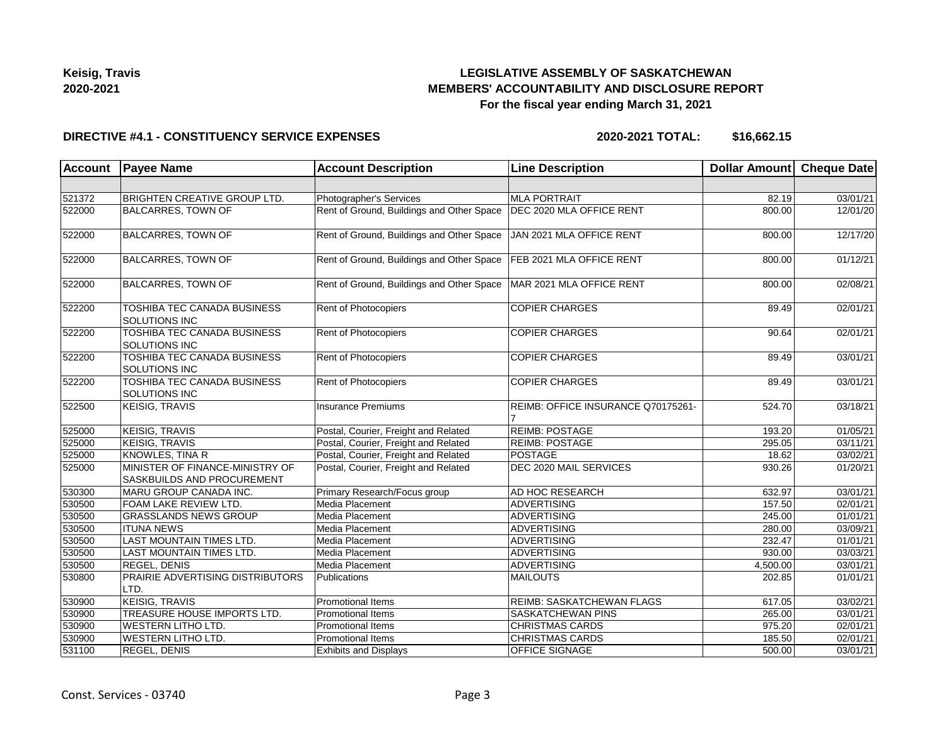

# **LEGISLATIVE ASSEMBLY OF SASKATCHEWAN MEMBERS' ACCOUNTABILITY AND DISCLOSURE REPORT For the fiscal year ending March 31, 2021**

#### **DIRECTIVE #4.1 - CONSTITUENCY SERVICE EXPENSES**

**2020-2021 TOTAL: \$16,662.15**

| <b>Account</b> | <b>Payee Name</b>                                             | <b>Account Description</b>                | <b>Line Description</b>            | Dollar Amount Cheque Date |          |
|----------------|---------------------------------------------------------------|-------------------------------------------|------------------------------------|---------------------------|----------|
|                |                                                               |                                           |                                    |                           |          |
| 521372         | <b>BRIGHTEN CREATIVE GROUP LTD.</b>                           | Photographer's Services                   | <b>MLA PORTRAIT</b>                | 82.19                     | 03/01/21 |
| 522000         | <b>BALCARRES, TOWN OF</b>                                     | Rent of Ground, Buildings and Other Space | DEC 2020 MLA OFFICE RENT           | 800.00                    | 12/01/20 |
| 522000         | <b>BALCARRES, TOWN OF</b>                                     | Rent of Ground, Buildings and Other Space | JAN 2021 MLA OFFICE RENT           | 800.00                    | 12/17/20 |
| 522000         | <b>BALCARRES, TOWN OF</b>                                     | Rent of Ground, Buildings and Other Space | FEB 2021 MLA OFFICE RENT           | 800.00                    | 01/12/21 |
| 522000         | <b>BALCARRES, TOWN OF</b>                                     | Rent of Ground, Buildings and Other Space | MAR 2021 MLA OFFICE RENT           | 800.00                    | 02/08/21 |
| 522200         | TOSHIBA TEC CANADA BUSINESS<br><b>SOLUTIONS INC</b>           | Rent of Photocopiers                      | <b>COPIER CHARGES</b>              | 89.49                     | 02/01/21 |
| 522200         | <b>TOSHIBA TEC CANADA BUSINESS</b><br>SOLUTIONS INC           | Rent of Photocopiers                      | <b>COPIER CHARGES</b>              | 90.64                     | 02/01/21 |
| 522200         | TOSHIBA TEC CANADA BUSINESS<br><b>SOLUTIONS INC</b>           | Rent of Photocopiers                      | <b>COPIER CHARGES</b>              | 89.49                     | 03/01/21 |
| 522200         | TOSHIBA TEC CANADA BUSINESS<br><b>SOLUTIONS INC</b>           | Rent of Photocopiers                      | <b>COPIER CHARGES</b>              | 89.49                     | 03/01/21 |
| 522500         | KEISIG, TRAVIS                                                | <b>Insurance Premiums</b>                 | REIMB: OFFICE INSURANCE Q70175261- | 524.70                    | 03/18/21 |
| 525000         | <b>KEISIG, TRAVIS</b>                                         | Postal, Courier, Freight and Related      | <b>REIMB: POSTAGE</b>              | 193.20                    | 01/05/21 |
| 525000         | <b>KEISIG, TRAVIS</b>                                         | Postal, Courier, Freight and Related      | <b>REIMB: POSTAGE</b>              | 295.05                    | 03/11/21 |
| 525000         | <b>KNOWLES, TINA R</b>                                        | Postal, Courier, Freight and Related      | POSTAGE                            | 18.62                     | 03/02/21 |
| 525000         | MINISTER OF FINANCE-MINISTRY OF<br>SASKBUILDS AND PROCUREMENT | Postal, Courier, Freight and Related      | DEC 2020 MAIL SERVICES             | 930.26                    | 01/20/21 |
| 530300         | MARU GROUP CANADA INC.                                        | Primary Research/Focus group              | AD HOC RESEARCH                    | 632.97                    | 03/01/21 |
| 530500         | FOAM LAKE REVIEW LTD.                                         | Media Placement                           | ADVERTISING                        | 157.50                    | 02/01/21 |
| 530500         | <b>GRASSLANDS NEWS GROUP</b>                                  | Media Placement                           | ADVERTISING                        | 245.00                    | 01/01/21 |
| 530500         | <b>ITUNA NEWS</b>                                             | Media Placement                           | ADVERTISING                        | 280.00                    | 03/09/21 |
| 530500         | LAST MOUNTAIN TIMES LTD.                                      | Media Placement                           | <b>ADVERTISING</b>                 | 232.47                    | 01/01/21 |
| 530500         | LAST MOUNTAIN TIMES LTD.                                      | Media Placement                           | ADVERTISING                        | 930.00                    | 03/03/21 |
| 530500         | <b>REGEL, DENIS</b>                                           | Media Placement                           | ADVERTISING                        | 4,500.00                  | 03/01/21 |
| 530800         | PRAIRIE ADVERTISING DISTRIBUTORS<br>LTD.                      | Publications                              | MAILOUTS                           | 202.85                    | 01/01/21 |
| 530900         | <b>KEISIG, TRAVIS</b>                                         | Promotional Items                         | REIMB: SASKATCHEWAN FLAGS          | 617.05                    | 03/02/21 |
| 530900         | TREASURE HOUSE IMPORTS LTD.                                   | Promotional Items                         | SASKATCHEWAN PINS                  | 265.00                    | 03/01/21 |
| 530900         | <b>WESTERN LITHO LTD.</b>                                     | <b>Promotional Items</b>                  | <b>CHRISTMAS CARDS</b>             | 975.20                    | 02/01/21 |
| 530900         | <b>WESTERN LITHO LTD.</b>                                     | <b>Promotional Items</b>                  | <b>CHRISTMAS CARDS</b>             | 185.50                    | 02/01/21 |
| 531100         | <b>REGEL, DENIS</b>                                           | <b>Exhibits and Displays</b>              | <b>OFFICE SIGNAGE</b>              | 500.00                    | 03/01/21 |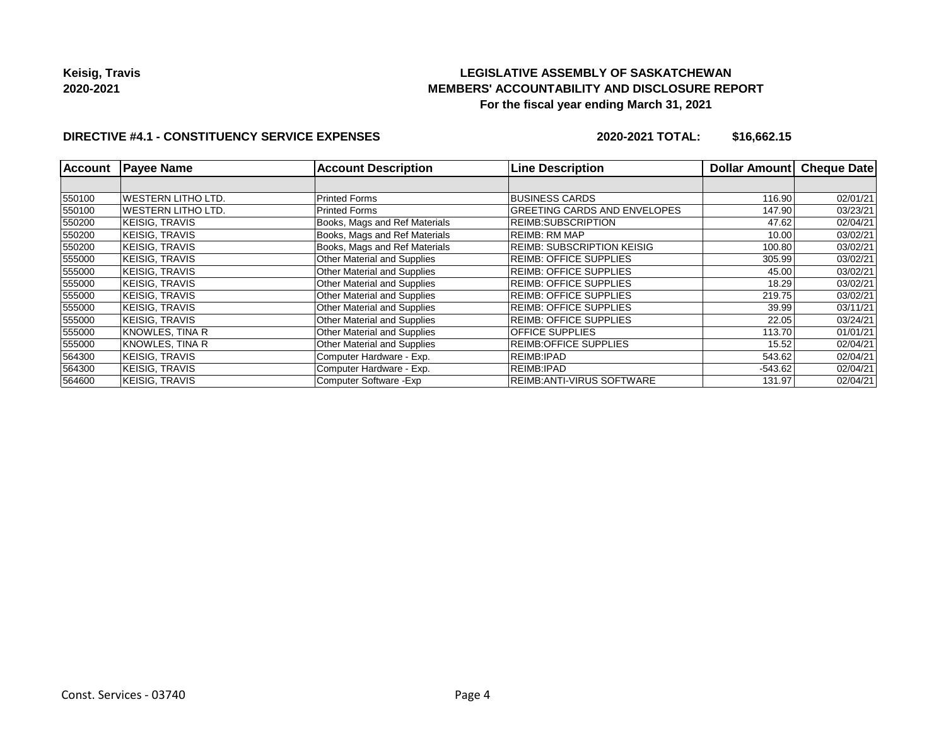# **LEGISLATIVE ASSEMBLY OF SASKATCHEWAN MEMBERS' ACCOUNTABILITY AND DISCLOSURE REPORT For the fiscal year ending March 31, 2021**

# **DIRECTIVE #4.1 - CONSTITUENCY SERVICE EXPENSES**

**2020-2021 TOTAL: \$16,662.15**

| <b>Account</b> | <b>Payee Name</b>  | <b>Account Description</b>         | <b>Line Description</b>             | Dollar Amount | <b>Cheque Date</b> |
|----------------|--------------------|------------------------------------|-------------------------------------|---------------|--------------------|
|                |                    |                                    |                                     |               |                    |
| 550100         | WESTERN LITHO LTD. | <b>Printed Forms</b>               | <b>BUSINESS CARDS</b>               | 116.90        | 02/01/21           |
| 550100         | WESTERN LITHO LTD. | <b>Printed Forms</b>               | <b>GREETING CARDS AND ENVELOPES</b> | 147.90        | 03/23/21           |
| 550200         | KEISIG. TRAVIS     | Books, Mags and Ref Materials      | <b>REIMB:SUBSCRIPTION</b>           | 47.62         | 02/04/21           |
| 550200         | KEISIG. TRAVIS     | Books, Mags and Ref Materials      | <b>REIMB: RM MAP</b>                | 10.00         | 03/02/21           |
| 550200         | KEISIG, TRAVIS     | Books, Mags and Ref Materials      | <b>REIMB: SUBSCRIPTION KEISIG</b>   | 100.80        | 03/02/21           |
| 555000         | KEISIG. TRAVIS     | Other Material and Supplies        | <b>REIMB: OFFICE SUPPLIES</b>       | 305.99        | 03/02/21           |
| 555000         | KEISIG. TRAVIS     | <b>Other Material and Supplies</b> | <b>REIMB: OFFICE SUPPLIES</b>       | 45.00         | 03/02/21           |
| 555000         | KEISIG, TRAVIS     | Other Material and Supplies        | <b>REIMB: OFFICE SUPPLIES</b>       | 18.29         | 03/02/21           |
| 555000         | KEISIG, TRAVIS     | Other Material and Supplies        | <b>REIMB: OFFICE SUPPLIES</b>       | 219.75        | 03/02/21           |
| 555000         | KEISIG, TRAVIS     | <b>Other Material and Supplies</b> | <b>REIMB: OFFICE SUPPLIES</b>       | 39.99         | 03/11/21           |
| 555000         | KEISIG, TRAVIS     | <b>Other Material and Supplies</b> | <b>REIMB: OFFICE SUPPLIES</b>       | 22.05         | 03/24/21           |
| 555000         | KNOWLES, TINA R    | Other Material and Supplies        | <b>OFFICE SUPPLIES</b>              | 113.70        | 01/01/21           |
| 555000         | KNOWLES, TINA R    | Other Material and Supplies        | <b>REIMB:OFFICE SUPPLIES</b>        | 15.52         | 02/04/21           |
| 564300         | KEISIG, TRAVIS     | Computer Hardware - Exp.           | REIMB: IPAD                         | 543.62        | 02/04/21           |
| 564300         | KEISIG, TRAVIS     | Computer Hardware - Exp.           | REIMB: IPAD                         | $-543.62$     | 02/04/21           |
| 564600         | KEISIG, TRAVIS     | Computer Software - Exp            | <b>REIMB:ANTI-VIRUS SOFTWARE</b>    | 131.97        | 02/04/21           |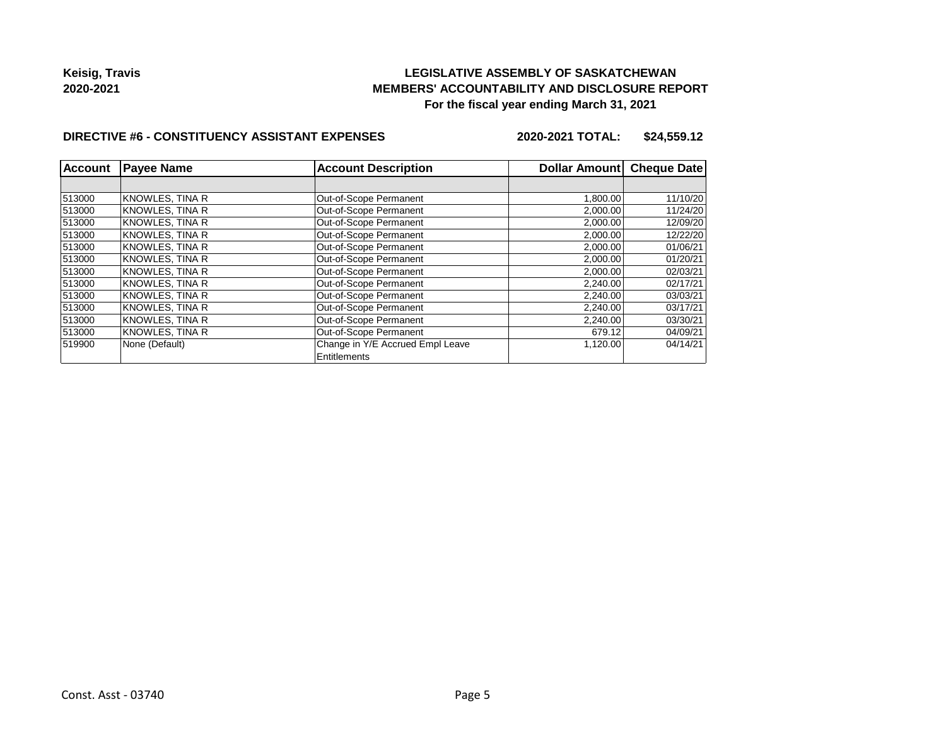# **LEGISLATIVE ASSEMBLY OF SASKATCHEWAN MEMBERS' ACCOUNTABILITY AND DISCLOSURE REPORT For the fiscal year ending March 31, 2021**

## **DIRECTIVE #6 - CONSTITUENCY ASSISTANT EXPENSES**

**2020-2021 TOTAL: \$24,559.12**

| <b>Account</b> | <b>Payee Name</b>      | <b>Account Description</b>       | Dollar Amount | <b>Cheque Date</b> |
|----------------|------------------------|----------------------------------|---------------|--------------------|
|                |                        |                                  |               |                    |
| 513000         | KNOWLES, TINA R        | Out-of-Scope Permanent           | 1,800.00      | 11/10/20           |
| 513000         | KNOWLES, TINA R        | Out-of-Scope Permanent           | 2,000.00      | 11/24/20           |
| 513000         | KNOWLES, TINA R        | Out-of-Scope Permanent           | 2,000.00      | 12/09/20           |
| 513000         | KNOWLES, TINA R        | Out-of-Scope Permanent           | 2,000.00      | 12/22/20           |
| 513000         | KNOWLES, TINA R        | Out-of-Scope Permanent           | 2,000.00      | 01/06/21           |
| 513000         | KNOWLES, TINA R        | Out-of-Scope Permanent           | 2,000.00      | 01/20/21           |
| 513000         | KNOWLES, TINA R        | Out-of-Scope Permanent           | 2,000.00      | 02/03/21           |
| 513000         | KNOWLES, TINA R        | Out-of-Scope Permanent           | 2,240.00      | 02/17/21           |
| 513000         | <b>KNOWLES, TINA R</b> | Out-of-Scope Permanent           | 2,240.00      | 03/03/21           |
| 513000         | <b>KNOWLES, TINA R</b> | Out-of-Scope Permanent           | 2,240.00      | 03/17/21           |
| 513000         | KNOWLES, TINA R        | Out-of-Scope Permanent           | 2,240.00      | 03/30/21           |
| 513000         | KNOWLES, TINA R        | Out-of-Scope Permanent           | 679.12        | 04/09/21           |
| 519900         | None (Default)         | Change in Y/E Accrued Empl Leave | 1,120.00      | 04/14/21           |
|                |                        | Entitlements                     |               |                    |